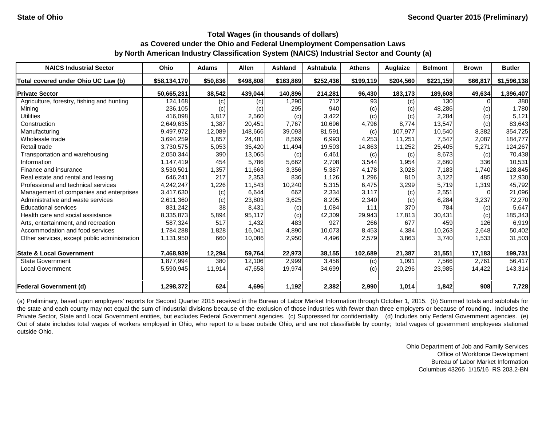| <b>NAICS Industrial Sector</b>               | Ohio         | <b>Adams</b> | <b>Allen</b> | <b>Ashland</b> | <b>Ashtabula</b> | <b>Athens</b> | Auglaize  | <b>Belmont</b> | Brown    | <b>Butler</b> |
|----------------------------------------------|--------------|--------------|--------------|----------------|------------------|---------------|-----------|----------------|----------|---------------|
| Total covered under Ohio UC Law (b)          | \$58,134,170 | \$50,836     | \$498,808    | \$163,869      | \$252,436        | \$199,119     | \$204,560 | \$221,159      | \$66,817 | \$1,596,138   |
| <b>Private Sector</b>                        | 50,665,231   | 38,542       | 439,044      | 140,896        | 214,281          | 96,430        | 183,173   | 189,608        | 49,634   | 1,396,407     |
| Agriculture, forestry, fishing and hunting   | 124,168      | (c)          | (c)          | 1,290          | 712              | 93            | (c)       | 130            |          | 380           |
| Mining                                       | 236,105      | (c)          | (c)          | 295            | 940              | (c)           | (c)       | 48,286         | (c)      | 1,780         |
| <b>Utilities</b>                             | 416,098      | 3,817        | 2,560        | (c)            | 3,422            | (c)           | (c)       | 2,284          | (c)      | 5,121         |
| Construction                                 | 2,649,635    | 1,387        | 20,451       | 7,767          | 10,696           | 4,796         | 8,774     | 13,547         | (c)      | 83,643        |
| Manufacturing                                | 9,497,972    | 12,089       | 148,666      | 39,093         | 81,591           | (c)           | 107,977   | 10,540         | 8,382    | 354,725       |
| Wholesale trade                              | 3,694,259    | 1,857        | 24,481       | 8,569          | 6,993            | 4,253         | 11,251    | 7,547          | 2,087    | 184,777       |
| Retail trade                                 | 3,730,575    | 5,053        | 35,420       | 11,494         | 19,503           | 14,863        | 11,252    | 25,405         | 5,271    | 124,267       |
| Transportation and warehousing               | 2,050,344    | 390          | 13,065       | (c)            | 6,461            | (c)           | (c)       | 8,673          | (c)      | 70,438        |
| Information                                  | 1,147,419    | 454          | 5,786        | 5,662          | 2,708            | 3,544         | 1,954     | 2,660          | 336      | 10,531        |
| Finance and insurance                        | 3,530,501    | 1,357        | 11,663       | 3,356          | 5,387            | 4,178         | 3,028     | 7,183          | 1.740    | 128,845       |
| Real estate and rental and leasing           | 646,241      | 217          | 2,353        | 836            | 1,126            | 1,296         | 810       | 3,122          | 485      | 12,930        |
| Professional and technical services          | 4,242,247    | 1,226        | 11,543       | 10,240         | 5,315            | 6,475         | 3,299     | 5,719          | 1,319    | 45,792        |
| Management of companies and enterprises      | 3,417,630    | (c)          | 6,644        | 662            | 2,334            | 3,117         | (c)       | 2,551          | $\Omega$ | 21,096        |
| Administrative and waste services            | 2,611,360    | (c)          | 23,803       | 3,625          | 8,205            | 2,340         | (c)       | 6,284          | 3,237    | 72,270        |
| <b>Educational services</b>                  | 831,242      | 38           | 8,431        | (c)            | 1,084            | 111           | 370       | 784            | (c)      | 5,647         |
| Health care and social assistance            | 8,335,873    | 5,894        | 95,117       | (c)            | 42,309           | 29,943        | 17,813    | 30,431         | (c)      | 185,343       |
| Arts, entertainment, and recreation          | 587,324      | 517          | 1,432        | 483            | 927              | 266           | 677       | 459            | 126      | 6,919         |
| Accommodation and food services              | 1,784,288    | 1,828        | 16,041       | 4,890          | 10,073           | 8,453         | 4,384     | 10,263         | 2,648    | 50,402        |
| Other services, except public administration | 1,131,950    | 660          | 10,086       | 2,950          | 4,496            | 2,579         | 3,863     | 3,740          | 1,533    | 31,503        |
| <b>State &amp; Local Government</b>          | 7,468,939    | 12,294       | 59,764       | 22,973         | 38,155           | 102,689       | 21,387    | 31,551         | 17,183   | 199,731       |
| <b>State Government</b>                      | 1,877,994    | 380          | 12,106       | 2,999          | 3,456            | (c)           | 1,091     | 7,566          | 2,761    | 56,417        |
| <b>Local Government</b>                      | 5,590,945    | 11,914       | 47,658       | 19,974         | 34,699           | (c)           | 20,296    | 23,985         | 14,422   | 143,314       |
| <b>Federal Government (d)</b>                | 1,298,372    | 624          | 4,696        | 1,192          | 2,382            | 2,990         | 1,014     | 1,842          | 908      | 7,728         |

(a) Preliminary, based upon employers' reports for Second Quarter 2015 received in the Bureau of Labor Market Information through October 1, 2015. (b) Summed totals and subtotals for the state and each county may not equal the sum of industrial divisions because of the exclusion of those industries with fewer than three employers or because of rounding. Includes the Private Sector, State and Local Government entities, but excludes Federal Government agencies. (c) Suppressed for confidentiality. (d) Includes only Federal Government agencies. (e) Out of state includes total wages of workers employed in Ohio, who report to a base outside Ohio, and are not classifiable by county; total wages of government employees stationed outside Ohio.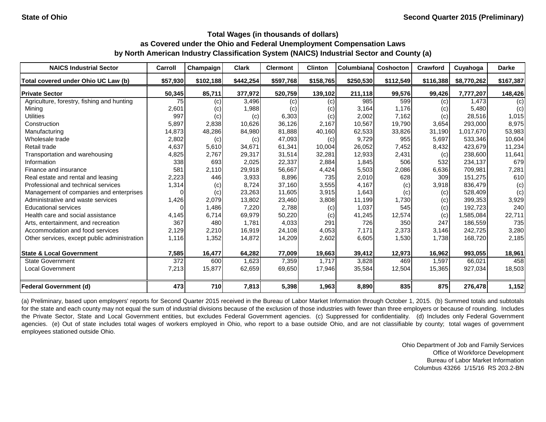| <b>NAICS Industrial Sector</b>               | Carroll  | Champaign | <b>Clark</b> | <b>Clermont</b> | <b>Clinton</b> | Columbiana | Coshocton | <b>Crawford</b> | Cuyahoga    | <b>Darke</b> |
|----------------------------------------------|----------|-----------|--------------|-----------------|----------------|------------|-----------|-----------------|-------------|--------------|
| Total covered under Ohio UC Law (b)          | \$57,930 | \$102,188 | \$442,254    | \$597,768       | \$158,765      | \$250,530  | \$112,549 | \$116,388       | \$8,770,262 | \$167,387    |
| <b>Private Sector</b>                        | 50,345   | 85,711    | 377,972      | 520,759         | 139,102        | 211,118    | 99,576    | 99,426          | 7,777,207   | 148,426      |
| Agriculture, forestry, fishing and hunting   | 75       | (c)       | 3,496        | (c)             | (c)            | 985        | 599       | (c)             | 1.473       | (c)          |
| Mining                                       | 2,601    | (c)       | 1,988        | (c)             | (c)            | 3,164      | 1,176     | (c)             | 5,480       | (c)          |
| <b>Utilities</b>                             | 997      | (c)       | (c)          | 6,303           | (c)            | 2,002      | 7,162     | (c)             | 28,516      | 1,015        |
| Construction                                 | 5,897    | 2,838     | 10,626       | 36,126          | 2,167          | 10,567     | 19,790    | 3,654           | 293,000     | 8,975        |
| Manufacturing                                | 14,873   | 48,286    | 84,980       | 81,888          | 40,160         | 62,533     | 33,826    | 31,190          | 1,017,670   | 53,983       |
| Wholesale trade                              | 2,802    | (c)       | (c)          | 47,093          | (c)            | 9,729      | 955       | 5,697           | 533,346     | 10,604       |
| Retail trade                                 | 4,637    | 5,610     | 34,671       | 61,341          | 10,004         | 26,052     | 7,452     | 8,432           | 423,679     | 11,234       |
| Transportation and warehousing               | 4,825    | 2,767     | 29,317       | 31,514          | 32,281         | 12,933     | 2,431     | (c)             | 238,600     | 11,641       |
| Information                                  | 338      | 693       | 2,025        | 22,337          | 2,884          | 1,845      | 506       | 532             | 234,137     | 679          |
| Finance and insurance                        | 581      | 2,110     | 29,918       | 56,667          | 4,424          | 5,503      | 2,086     | 6,636           | 709,981     | 7,281        |
| Real estate and rental and leasing           | 2,223    | 446       | 3,933        | 8,896           | 735            | 2,010      | 628       | 309             | 151,275     | 610          |
| Professional and technical services          | 1,314    | (c)       | 8,724        | 37,160          | 3,555          | 4,167      | (c)       | 3,918           | 836,479     | (c)          |
| Management of companies and enterprises      | 0        | (c)       | 23,263       | 11,605          | 3,915          | 1,643      | (c)       | (c)             | 528,409     | (c)          |
| Administrative and waste services            | 1,426    | 2,079     | 13,802       | 23,460          | 3,808          | 11,199     | 1,730     | (c)             | 399,353     | 3,929        |
| <b>Educational services</b>                  |          | 1,486     | 7,220        | 2,788           | (c)            | 1,037      | 545       | (c)             | 192,723     | 240          |
| Health care and social assistance            | 4,145    | 6,714     | 69,979       | 50,220          | (c)            | 41,245     | 12,574    | (c)             | 1,585,084   | 22,711       |
| Arts, entertainment, and recreation          | 367      | 480       | 1.781        | 4,033           | 291            | 726        | 350       | 247             | 186.559     | 735          |
| Accommodation and food services              | 2,129    | 2,210     | 16,919       | 24,108          | 4,053          | 7,171      | 2,373     | 3,146           | 242,725     | 3,280        |
| Other services, except public administration | 1,116    | 1,352     | 14,872       | 14,209          | 2,602          | 6,605      | 1,530     | 1,738           | 168,720     | 2,185        |
| <b>State &amp; Local Government</b>          | 7,585    | 16,477    | 64,282       | 77,009          | 19,663         | 39,412     | 12,973    | 16,962          | 993,055     | 18,961       |
| <b>State Government</b>                      | 372      | 600       | 1,623        | 7,359           | 1,717          | 3,828      | 469       | 1,597           | 66,021      | 458          |
| <b>Local Government</b>                      | 7,213    | 15,877    | 62,659       | 69,650          | 17,946         | 35,584     | 12,504    | 15,365          | 927,034     | 18,503       |
| <b>Federal Government (d)</b>                | 473      | 710       | 7,813        | 5,398           | 1,963          | 8,890      | 835       | 875             | 276,478     | 1,152        |

(a) Preliminary, based upon employers' reports for Second Quarter 2015 received in the Bureau of Labor Market Information through October 1, 2015. (b) Summed totals and subtotals for the state and each county may not equal the sum of industrial divisions because of the exclusion of those industries with fewer than three employers or because of rounding. Includes the Private Sector, State and Local Government entities, but excludes Federal Government agencies. (c) Suppressed for confidentiality. (d) Includes only Federal Government agencies. (e) Out of state includes total wages of workers employed in Ohio, who report to a base outside Ohio, and are not classifiable by county; total wages of government employees stationed outside Ohio.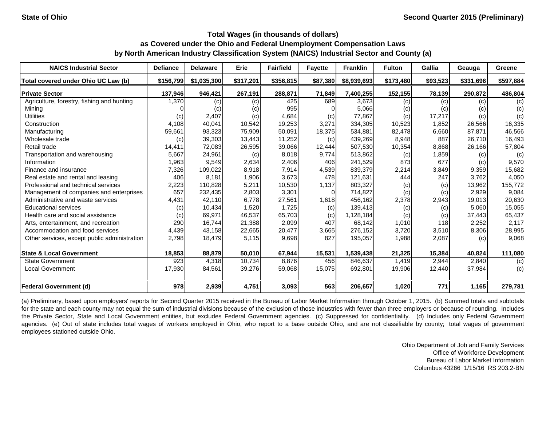| <b>NAICS Industrial Sector</b>               | <b>Defiance</b> | <b>Delaware</b> | Erie      | <b>Fairfield</b> | <b>Fayette</b> | <b>Franklin</b> | <b>Fulton</b> | Gallia   | Geauga    | Greene    |
|----------------------------------------------|-----------------|-----------------|-----------|------------------|----------------|-----------------|---------------|----------|-----------|-----------|
| Total covered under Ohio UC Law (b)          | \$156,799       | \$1,035,300     | \$317,201 | \$356,815        | \$87,380       | \$8,939,693     | \$173,480     | \$93,523 | \$331,696 | \$597,884 |
| <b>IPrivate Sector</b>                       | 137,946         | 946,421         | 267,191   | 288,871          | 71,849         | 7,400,255       | 152,155       | 78,139   | 290,872   | 486,804   |
| Agriculture, forestry, fishing and hunting   | 1,370           | (c)             | (c)       | 425              | 689            | 3,673           | (c)           | (c)      | (c)       | (c)       |
| Mining                                       |                 | (c)             | (c)       | 995              |                | 5,066           | (c)           | (c)      | (c)       | (c)       |
| <b>Utilities</b>                             | (c)             | 2,407           | (c)       | 4,684            | (c)            | 77,867          | (c)           | 17,217   | (c)       | (c)       |
| Construction                                 | 4,108           | 40,041          | 10,542    | 19,253           | 3,271          | 334,305         | 10,523        | 1,852    | 26,566    | 16,335    |
| Manufacturing                                | 59,661          | 93,323          | 75,909    | 50,091           | 18,375         | 534,881         | 82,478        | 6,660    | 87,871    | 46,566    |
| Wholesale trade                              | (c)             | 39,303          | 13,443    | 11,252           | (c)            | 439,269         | 8,948         | 887      | 26,710    | 16,493    |
| Retail trade                                 | 14,411          | 72,083          | 26,595    | 39,066           | 12,444         | 507,530         | 10,354        | 8,868    | 26,166    | 57,804    |
| Transportation and warehousing               | 5,667           | 24,961          | (c)       | 8,018            | 9,774          | 513,862         | (c)           | 1,859    | (c)       | (c)       |
| Information                                  | 1,963           | 9,549           | 2,634     | 2,406            | 406            | 241,529         | 873           | 677      | (c)       | 9,570     |
| Finance and insurance                        | 7,326           | 109,022         | 8,918     | 7,914            | 4,539          | 839,379         | 2,214         | 3,849    | 9,359     | 15,682    |
| Real estate and rental and leasing           | 406             | 8,181           | 1,906     | 3,673            | 478            | 121,631         | 444           | 247      | 3,762     | 4,050     |
| Professional and technical services          | 2,223           | 110,828         | 5,211     | 10,530           | 1,137          | 803,327         | (c)           | (c)      | 13,962    | 155,772   |
| Management of companies and enterprises      | 657             | 232,435         | 2,803     | 3,301            | $\Omega$       | 714,827         | (c)           | (c)      | 2,929     | 9,084     |
| Administrative and waste services            | 4,431           | 42.110          | 6,778     | 27,561           | 1,618          | 456,162         | 2,378         | 2,943    | 19,013    | 20,630    |
| <b>Educational services</b>                  | (c)             | 10,434          | 1,520     | 1,725            | (c)            | 139,413         | (c)           | (c)      | 5,060     | 15,055    |
| Health care and social assistance            | (c)             | 69,971          | 46,537    | 65,703           | (c)            | 1,128,184       | (c)           | (c)      | 37,443    | 65,437    |
| Arts, entertainment, and recreation          | 290             | 16,744          | 21,388    | 2,099            | 407            | 68,142          | 1,010         | 118      | 2,252     | 2,117     |
| Accommodation and food services              | 4,439           | 43,158          | 22,665    | 20,477           | 3,665          | 276,152         | 3,720         | 3,510    | 8,306     | 28,995    |
| Other services, except public administration | 2,798           | 18,479          | 5,115     | 9,698            | 827            | 195,057         | 1,988         | 2,087    | (c)       | 9,068     |
| <b>State &amp; Local Government</b>          | 18,853          | 88,879          | 50,010    | 67,944           | 15,531         | 1,539,438       | 21,325        | 15,384   | 40,824    | 111,080   |
| <b>State Government</b>                      | 923             | 4,318           | 10,734    | 8,876            | 456            | 846,637         | 1.419         | 2,944    | 2,840     | (c)       |
| <b>Local Government</b>                      | 17,930          | 84,561          | 39,276    | 59,068           | 15,075         | 692,801         | 19,906        | 12,440   | 37,984    | (c)       |
| <b>Federal Government (d)</b>                | 978             | 2,939           | 4,751     | 3,093            | 563            | 206,657         | 1,020         | 771      | 1,165     | 279,781   |

(a) Preliminary, based upon employers' reports for Second Quarter 2015 received in the Bureau of Labor Market Information through October 1, 2015. (b) Summed totals and subtotals for the state and each county may not equal the sum of industrial divisions because of the exclusion of those industries with fewer than three employers or because of rounding. Includes the Private Sector, State and Local Government entities, but excludes Federal Government agencies. (c) Suppressed for confidentiality. (d) Includes only Federal Government agencies. (e) Out of state includes total wages of workers employed in Ohio, who report to a base outside Ohio, and are not classifiable by county; total wages of government employees stationed outside Ohio.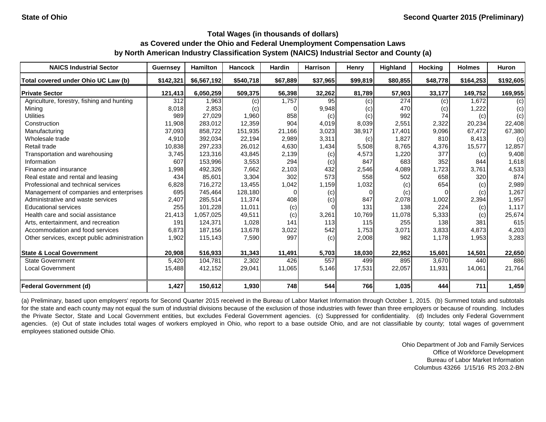| <b>NAICS Industrial Sector</b>               | <b>Guernsey</b> | <b>Hamilton</b> | <b>Hancock</b> | <b>Hardin</b> | <b>Harrison</b> | Henry    | <b>Highland</b> | <b>Hocking</b> | <b>Holmes</b> | <b>Huron</b> |
|----------------------------------------------|-----------------|-----------------|----------------|---------------|-----------------|----------|-----------------|----------------|---------------|--------------|
| Total covered under Ohio UC Law (b)          | \$142,321       | \$6,567,192     | \$540,718      | \$67.889      | \$37,965        | \$99,819 | \$80,855        | \$48,778       | \$164,253     | \$192,605    |
| <b>Private Sector</b>                        | 121,413         | 6,050,259       | 509,375        | 56,398        | 32,262          | 81,789   | 57,903          | 33,177         | 149,752       | 169,955      |
| Agriculture, forestry, fishing and hunting   | 312             | 1.963           | (c)            | 1,757         | 95              | (c)      | 274             | (c)            | 1,672         | (c)          |
| Minina                                       | 8,018           | 2,853           | (c)            |               | 9,948           | (c)      | 470             | (c)            | 1,222         | (c)          |
| <b>Utilities</b>                             | 989             | 27,029          | 1,960          | 858           | (c)             | (c)      | 992             | 74             | (c)           | (c)          |
| Construction                                 | 11,908          | 283.012         | 12,359         | 904           | 4,019           | 8,039    | 2,551           | 2,322          | 20,234        | 22,408       |
| Manufacturing                                | 37,093          | 858,722         | 151,935        | 21,166        | 3,023           | 38,917   | 17,401          | 9,096          | 67,472        | 67,380       |
| Wholesale trade                              | 4,910           | 392,034         | 22,194         | 2,989         | 3,311           | (c)      | 1,827           | 810            | 8,413         | (c)          |
| Retail trade                                 | 10,838          | 297,233         | 26,012         | 4,630         | 1,434           | 5,508    | 8,765           | 4,376          | 15,577        | 12,857       |
| Transportation and warehousing               | 3,745           | 123,316         | 43,845         | 2,139         | (c)             | 4,573    | 1,220           | 377            | (c)           | 9,408        |
| Information                                  | 607             | 153,996         | 3,553          | 294           | (c)             | 847      | 683             | 352            | 844           | 1,618        |
| Finance and insurance                        | 1,998           | 492,326         | 7,662          | 2,103         | 432             | 2,546    | 4,089           | 1,723          | 3,761         | 4,533        |
| Real estate and rental and leasing           | 434             | 85,601          | 3,304          | 302           | 573             | 558      | 502             | 658            | 320           | 874          |
| Professional and technical services          | 6,828           | 716,272         | 13,455         | 1,042         | 1,159           | 1,032    | (c)             | 654            | (c)           | 2,989        |
| Management of companies and enterprises      | 695             | 745,464         | 128,180        |               | (c)             |          | (c)             | 0              | (c)           | 1,267        |
| Administrative and waste services            | 2,407           | 285,514         | 11,374         | 408           | (c)             | 847      | 2,078           | 1,002          | 2,394         | 1,957        |
| <b>Educational services</b>                  | 255             | 101,228         | 11,011         | (c)           |                 | 131      | 138             | 224            | (c)           | 1,117        |
| Health care and social assistance            | 21,413          | 1,057,025       | 49,511         | (c)           | 3,261           | 10,769   | 11,078          | 5,333          | (c)           | 25,674       |
| Arts, entertainment, and recreation          | 191             | 124,371         | 1,028          | 141           | 113             | 115      | 255             | 138            | 381           | 615          |
| Accommodation and food services              | 6,873           | 187,156         | 13,678         | 3,022         | 542             | 1,753    | 3,071           | 3,833          | 4,873         | 4,203        |
| Other services, except public administration | 1,902           | 115,143         | 7,590          | 997           | (c)             | 2,008    | 982             | 1,178          | 1,953         | 3,283        |
| <b>State &amp; Local Government</b>          | 20,908          | 516,933         | 31,343         | 11,491        | 5,703           | 18,030   | 22,952          | 15,601         | 14,501        | 22,650       |
| State Government                             | 5,420           | 104,781         | 2,302          | 426           | 557             | 499      | 895             | 3,670          | 440           | 886          |
| <b>Local Government</b>                      | 15,488          | 412,152         | 29,041         | 11,065        | 5,146           | 17,531   | 22,057          | 11,931         | 14,061        | 21,764       |
| <b>Federal Government (d)</b>                | 1,427           | 150,612         | 1,930          | 748           | 544             | 766      | 1,035           | 444            | 711           | 1,459        |

(a) Preliminary, based upon employers' reports for Second Quarter 2015 received in the Bureau of Labor Market Information through October 1, 2015. (b) Summed totals and subtotals for the state and each county may not equal the sum of industrial divisions because of the exclusion of those industries with fewer than three employers or because of rounding. Includes the Private Sector, State and Local Government entities, but excludes Federal Government agencies. (c) Suppressed for confidentiality. (d) Includes only Federal Government agencies. (e) Out of state includes total wages of workers employed in Ohio, who report to a base outside Ohio, and are not classifiable by county; total wages of government employees stationed outside Ohio.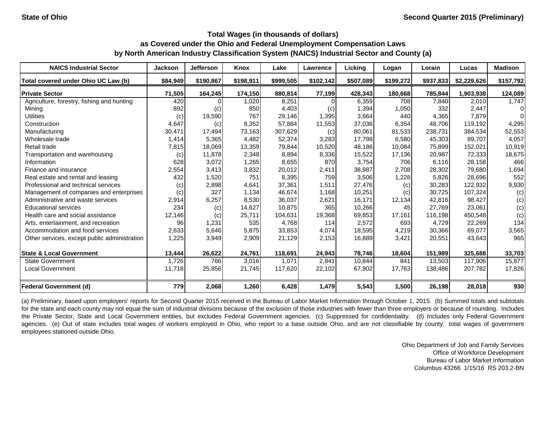| <b>NAICS Industrial Sector</b>               | <b>Jackson</b> | <b>Jefferson</b> | Knox      | Lake      | <b>Lawrence</b> | Licking   | Logan     | Lorain    | Lucas       | <b>Madison</b> |
|----------------------------------------------|----------------|------------------|-----------|-----------|-----------------|-----------|-----------|-----------|-------------|----------------|
| Total covered under Ohio UC Law (b)          | \$84,949       | \$190,867        | \$198,911 | \$999,505 | \$102,142       | \$507,089 | \$199,272 | \$937,833 | \$2,229,626 | \$157,792      |
| <b>Private Sector</b>                        | 71,505         | 164,245          | 174,150   | 880,814   | 77,199          | 428,343   | 180,668   | 785,844   | 1,903,938   | 124,089        |
| Agriculture, forestry, fishing and hunting   | 420            |                  | 1,020     | 8,251     |                 | 6,359     | 708       | 7,840     | 2,010       | 1,747          |
| Mining                                       | 892            | (c)              | 850       | 4,403     | (c)             | 1,394     | 1,050     | 332       | 2,447       | 0              |
| <b>Utilities</b>                             | (c)            | 19,590           | 767       | 29,146    | 1,395           | 3,664     | 440       | 4,365     | 7,879       | 0              |
| Construction                                 | 4,647          | (c)              | 8,352     | 57,884    | 11,553          | 37,036    | 6,354     | 48.706    | 119.192     | 4,295          |
| Manufacturing                                | 30,471         | 17,494           | 73,163    | 307,629   | (c)             | 80,061    | 81,533    | 238,731   | 384,534     | 52,553         |
| Wholesale trade                              | 1,414          | 5,365            | 4,482     | 52,374    | 3,283           | 17,798    | 6,580     | 45,303    | 89,707      | 4,057          |
| Retail trade                                 | 7,815          | 18,069           | 13,359    | 79,844    | 10,520          | 48,186    | 10,084    | 75,899    | 152,021     | 10,919         |
| Transportation and warehousing               | (c)            | 11,878           | 2,348     | 8,894     | 8,336           | 15,522    | 17,136    | 20,987    | 72,333      | 18,675         |
| Information                                  | 628            | 3,072            | 1,265     | 8,655     | 870             | 3,754     | 706       | 6,116     | 28,158      | 466            |
| Finance and insurance                        | 2,554          | 3,413            | 3,832     | 20,012    | 2,411           | 38,987    | 2,708     | 28,302    | 79,680      | 1,694          |
| Real estate and rental and leasing           | 432            | 1,520            | 751       | 8,395     | 759             | 3,506     | 1,228     | 5,826     | 28,696      | 552            |
| Professional and technical services          | (c)            | 2,898            | 4,641     | 37,361    | 1,511           | 27,476    | (c)       | 30,283    | 122,932     | 9,930          |
| Management of companies and enterprises      | (c)            | 327              | 1,134     | 46,674    | 1,168           | 10,251    | (c)       | 30,725    | 107,324     | (c)            |
| Administrative and waste services            | 2,914          | 6,257            | 8,530     | 36,037    | 2,621           | 16,171    | 12,134    | 42,816    | 98,427      | (c)            |
| <b>Educational services</b>                  | 234            | (c)              | 14,627    | 10,875    | 365             | 10,266    | 45        | 27,769    | 23,061      | (c)            |
| Health care and social assistance            | 12,146         | (c)              | 25,711    | 104,631   | 19,368          | 69,853    | 17,161    | 116,198   | 450,548     | (c)            |
| Arts, entertainment, and recreation          | 96             | 1,231            | 535       | 4,768     | 114             | 2,572     | 693       | 4,729     | 22,269      | 134            |
| Accommodation and food services              | 2,633          | 5,646            | 5,875     | 33,853    | 4,074           | 18,595    | 4,219     | 30,366    | 69,077      | 3,565          |
| Other services, except public administration | 1,225          | 3,949            | 2,909     | 21,129    | 2,153           | 16,889    | 3,421     | 20,551    | 43,643      | 965            |
| <b>State &amp; Local Government</b>          | 13,444         | 26,622           | 24,761    | 118,691   | 24,943          | 78,746    | 18,604    | 151,989   | 325,688     | 33,703         |
| <b>State Government</b>                      | 1,726          | 766              | 3,016     | 1,071     | 2,841           | 10,844    | 841       | 13.503    | 117,906     | 15,877         |
| <b>Local Government</b>                      | 11,718         | 25,856           | 21,745    | 117,620   | 22,102          | 67,902    | 17,763    | 138,486   | 207,782     | 17,826         |
| <b>Federal Government (d)</b>                | 779            | 2,068            | 1,260     | 6,428     | 1,479           | 5,543     | 1,500     | 26,198    | 28,018      | 930            |

(a) Preliminary, based upon employers' reports for Second Quarter 2015 received in the Bureau of Labor Market Information through October 1, 2015. (b) Summed totals and subtotals for the state and each county may not equal the sum of industrial divisions because of the exclusion of those industries with fewer than three employers or because of rounding. Includes the Private Sector, State and Local Government entities, but excludes Federal Government agencies. (c) Suppressed for confidentiality. (d) Includes only Federal Government agencies. (e) Out of state includes total wages of workers employed in Ohio, who report to a base outside Ohio, and are not classifiable by county; total wages of government employees stationed outside Ohio.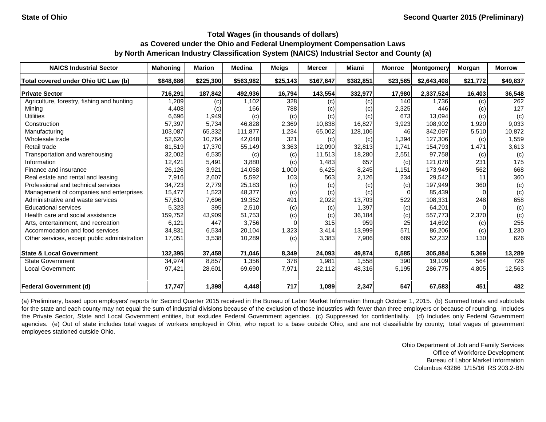| <b>NAICS Industrial Sector</b>               | <b>Mahoning</b> | <b>Marion</b> | <b>Medina</b> | <b>Meigs</b> | Mercer    | <b>Miami</b> | <b>Monroe</b> | Montgomery  | Morgan   | <b>Morrow</b> |
|----------------------------------------------|-----------------|---------------|---------------|--------------|-----------|--------------|---------------|-------------|----------|---------------|
| Total covered under Ohio UC Law (b)          | \$848,686       | \$225,300     | \$563,982     | \$25,143     | \$167,647 | \$382,851    | \$23,565      | \$2,643,408 | \$21,772 | \$49,837      |
| <b>Private Sector</b>                        | 716,291         | 187,842       | 492,936       | 16,794       | 143,554   | 332,977      | 17,980        | 2,337,524   | 16,403   | 36,548        |
| Agriculture, forestry, fishing and hunting   | ,209            | (c)           | 1,102         | 328          | (c)       | (c)          | 140           | 1,736       | (c)      | 262           |
| Mining                                       | 4,408           | (c)           | 166           | 788          | (c)       | (c)          | 2,325         | 446         | (c)      | 127           |
| <b>Utilities</b>                             | 6,696           | 1,949         | (c)           | (c)          | (c)       | (c)          | 673           | 13,094      | (c)      | (c)           |
| Construction                                 | 57,397          | 5,734         | 46,828        | 2,369        | 10,838    | 16,827       | 3,923         | 108,902     | 1,920    | 9,033         |
| Manufacturing                                | 103,087         | 65,332        | 111,877       | 1,234        | 65,002    | 128,106      | 46            | 342,097     | 5,510    | 10,872        |
| Wholesale trade                              | 52,620          | 10,764        | 42,048        | 321          | (c)       | (c)          | 1,394         | 127,306     | (c)      | 1,559         |
| Retail trade                                 | 81,519          | 17,370        | 55,149        | 3,363        | 12,090    | 32,813       | 1,741         | 154,793     | 1,471    | 3,613         |
| Transportation and warehousing               | 32,002          | 6,535         | (c)           | (c)          | 11,513    | 18,280       | 2,551         | 97,758      | (c)      | (c)           |
| Information                                  | 12,421          | 5,491         | 3,880         | (c)          | 1,483     | 657          | (c)           | 121,078     | 231      | 175           |
| Finance and insurance                        | 26,126          | 3,921         | 14,058        | 1,000        | 6,425     | 8,245        | 1.151         | 173,949     | 562      | 668           |
| Real estate and rental and leasing           | 7,916           | 2,607         | 5,592         | 103          | 563       | 2,126        | 234           | 29,542      | 11       | 360           |
| Professional and technical services          | 34,723          | 2,779         | 25,183        | (c)          | (c)       | (c)          | (c)           | 197,949     | 360      | (c)           |
| Management of companies and enterprises      | 15,477          | 1,523         | 48,377        | (c)          | (c)       | (c)          |               | 85,439      |          | (c)           |
| Administrative and waste services            | 57,610          | 7,696         | 19,352        | 491          | 2,022     | 13,703       | 522           | 108,331     | 248      | 658           |
| <b>Educational services</b>                  | 5,323           | 395           | 2,510         | (c)          | (c)       | 1,397        | (c)           | 64,201      |          | (c)           |
| Health care and social assistance            | 159,752         | 43,909        | 51,753        | (c)          | (c)       | 36,184       | (c)           | 557,773     | 2,370    | (c)           |
| Arts, entertainment, and recreation          | 6,121           | 447           | 3,756         |              | 315       | 959          | 25            | 14,692      | (c)      | 255           |
| Accommodation and food services              | 34,831          | 6,534         | 20,104        | 1,323        | 3,414     | 13,999       | 571           | 86,206      | (c)      | 1,230         |
| Other services, except public administration | 17,051          | 3,538         | 10,289        | (c)          | 3,383     | 7,906        | 689           | 52,232      | 130      | 626           |
| <b>State &amp; Local Government</b>          | 132,395         | 37,458        | 71,046        | 8,349        | 24,093    | 49,874       | 5,585         | 305,884     | 5,369    | 13,289        |
| <b>State Government</b>                      | 34,974          | 8,857         | 1,356         | 378          | 1,981     | 1,558        | 390           | 19,109      | 564      | 726           |
| Local Government                             | 97,421          | 28,601        | 69,690        | 7,971        | 22,112    | 48,316       | 5,195         | 286,775     | 4,805    | 12,563        |
| <b>Federal Government (d)</b>                | 17,747          | 1,398         | 4,448         | 717          | 1,089     | 2,347        | 547           | 67,583      | 451      | 482           |

(a) Preliminary, based upon employers' reports for Second Quarter 2015 received in the Bureau of Labor Market Information through October 1, 2015. (b) Summed totals and subtotals for the state and each county may not equal the sum of industrial divisions because of the exclusion of those industries with fewer than three employers or because of rounding. Includes the Private Sector, State and Local Government entities, but excludes Federal Government agencies. (c) Suppressed for confidentiality. (d) Includes only Federal Government agencies. (e) Out of state includes total wages of workers employed in Ohio, who report to a base outside Ohio, and are not classifiable by county; total wages of government employees stationed outside Ohio.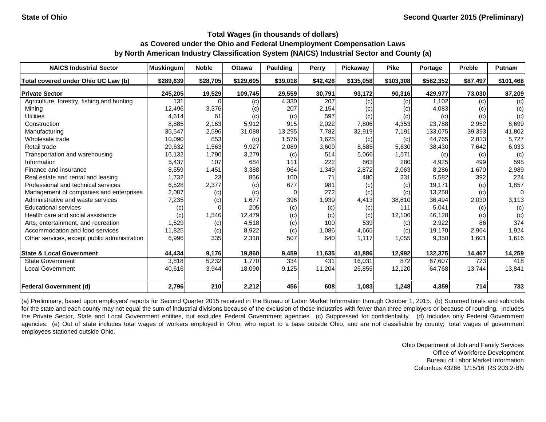| <b>NAICS Industrial Sector</b>               | <b>Muskingum</b> | <b>Noble</b> | <b>Ottawa</b> | <b>Paulding</b> | Perry    | Pickaway  | <b>Pike</b> | Portage   | <b>Preble</b> | Putnam         |
|----------------------------------------------|------------------|--------------|---------------|-----------------|----------|-----------|-------------|-----------|---------------|----------------|
| Total covered under Ohio UC Law (b)          | \$289,639        | \$28,705     | \$129,605     | \$39,018        | \$42,426 | \$135,058 | \$103,308   | \$562,352 | \$87,497      | \$101,468      |
| <b>Private Sector</b>                        | 245,205          | 19,529       | 109,745       | 29,559          | 30,791   | 93,172    | 90,316      | 429,977   | 73,030        | 87,209         |
| Agriculture, forestry, fishing and hunting   | 131              |              | (c)           | 4,330           | 207      | (c)       | (c)         | 1,102     | (c)           | (c)            |
| Mining                                       | 12,496           | 3,376        | (c)           | 207             | 2,154    | (c)       | (c)         | 4,083     | (c)           | (c)            |
| <b>Utilities</b>                             | 4,614            | 61           | (c)           | (c)             | 597      | (c)       | (c)         | (c)       | (c)           | (c)            |
| Construction                                 | 8,885            | 2,163        | 5,912         | 915             | 2,022    | 7,806     | 4,353       | 23,788    | 2,952         | 8,699          |
| Manufacturing                                | 35,547           | 2,596        | 31,088        | 13,295          | 7,782    | 32,919    | 7,191       | 133,075   | 39,393        | 41,802         |
| Wholesale trade                              | 10,090           | 853          | (c)           | 1,576           | 1,625    | (c)       | (c)         | 44,765    | 2,813         | 5,727          |
| Retail trade                                 | 29,632           | 1,563        | 9,927         | 2,089           | 3,609    | 8,585     | 5,630       | 38,430    | 7,642         | 6,033          |
| Transportation and warehousing               | 16,132           | 1,790        | 3,279         | (c)             | 514      | 5,066     | 1,571       | (c)       | (c)           | (c)            |
| Information                                  | 5,437            | 107          | 684           | 111             | 222      | 663       | 280         | 4,925     | 499           | 595            |
| Finance and insurance                        | 8,559            | 1,451        | 3,388         | 964             | 1,349    | 2,872     | 2,063       | 8,286     | 1,670         | 2,989          |
| Real estate and rental and leasing           | 1,732            | 23           | 866           | 100             | 71       | 480       | 231         | 5,582     | 392           | 224            |
| Professional and technical services          | 6,528            | 2,377        | (c)           | 677             | 981      | (c)       | (c)         | 19,171    | (c)           | 1,857          |
| Management of companies and enterprises      | 2,087            | (c)          | (c)           | 0               | 272      | (c)       | (c)         | 13,258    | (c)           | $\overline{0}$ |
| Administrative and waste services            | 7,235            | (c)          | 1,677         | 396             | 1,939    | 4,413     | 38,610      | 36,494    | 2,030         | 3,113          |
| <b>Educational services</b>                  | (c)              | $\Omega$     | 205           | (c)             | (c)      | (c)       | 111         | 5,041     | (c)           | (c)            |
| Health care and social assistance            | (c)              | 1,546        | 12,479        | (c)             | (c)      | (c)       | 12,106      | 46,128    | (c)           | (c)            |
| Arts, entertainment, and recreation          | 1,529            | (c)          | 4,518         | (c)             | 100      | 539       | (c)         | 2,922     | 86            | 374            |
| Accommodation and food services              | 11,825           | (c)          | 8,922         | (c)             | 1,086    | 4,665     | (c)         | 19,170    | 2,964         | 1,924          |
| Other services, except public administration | 6,996            | 335          | 2,318         | 507             | 640      | 1,117     | 1,055       | 9,350     | 1,601         | 1,616          |
| <b>State &amp; Local Government</b>          | 44,434           | 9,176        | 19,860        | 9,459           | 11,635   | 41,886    | 12,992      | 132,375   | 14,467        | 14,259         |
| <b>State Government</b>                      | 3,818            | 5,232        | 1,770         | 334             | 431      | 16,031    | 872         | 67,607    | 723           | 418            |
| <b>Local Government</b>                      | 40,616           | 3,944        | 18,090        | 9,125           | 11,204   | 25,855    | 12,120      | 64,768    | 13,744        | 13,841         |
| <b>Federal Government (d)</b>                | 2,796            | 210          | 2,212         | 456             | 608      | 1,083     | 1,248       | 4,359     | 714           | 733            |

(a) Preliminary, based upon employers' reports for Second Quarter 2015 received in the Bureau of Labor Market Information through October 1, 2015. (b) Summed totals and subtotals for the state and each county may not equal the sum of industrial divisions because of the exclusion of those industries with fewer than three employers or because of rounding. Includes the Private Sector, State and Local Government entities, but excludes Federal Government agencies. (c) Suppressed for confidentiality. (d) Includes only Federal Government agencies. (e) Out of state includes total wages of workers employed in Ohio, who report to a base outside Ohio, and are not classifiable by county; total wages of government employees stationed outside Ohio.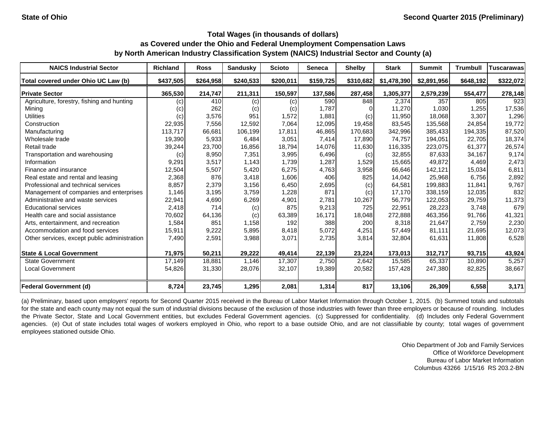| <b>NAICS Industrial Sector</b>               | <b>Richland</b> | <b>Ross</b> | <b>Sandusky</b> | <b>Scioto</b> | Seneca    | <b>Shelby</b> | <b>Stark</b> | <b>Summit</b> | <b>Trumbull</b> | <b>Tuscarawas</b> |
|----------------------------------------------|-----------------|-------------|-----------------|---------------|-----------|---------------|--------------|---------------|-----------------|-------------------|
| Total covered under Ohio UC Law (b)          | \$437,505       | \$264,958   | \$240,533       | \$200,011     | \$159,725 | \$310,682     | \$1,478,390  | \$2,891,956   | \$648,192       | \$322,072         |
| <b>Private Sector</b>                        | 365,530         | 214,747     | 211,311         | 150,597       | 137,586   | 287,458       | 1,305,377    | 2,579,239     | 554,477         | 278,148           |
| Agriculture, forestry, fishing and hunting   | (c)             | 410         | (c)             | (c)           | 590       | 848           | 2,374        | 357           | 805             | 923               |
| Mining                                       | (c)             | 262         | (c)             | (c)           | 1,787     |               | 11,270       | 1,030         | 1,255           | 17,536            |
| <b>Utilities</b>                             | (c)             | 3,576       | 951             | 1,572         | 1,881     | (c)           | 11,950       | 18,068        | 3,307           | 1,296             |
| Construction                                 | 22,935          | 7,556       | 12,592          | 7,064         | 12,095    | 19,458        | 83,545       | 135,568       | 24,854          | 19,772            |
| Manufacturing                                | 113,717         | 66,681      | 106,199         | 17,811        | 46,865    | 170,683       | 342,996      | 385,433       | 194,335         | 87,520            |
| Wholesale trade                              | 19,390          | 5,933       | 6,484           | 3,051         | 7,414     | 17,890        | 74,757       | 194,051       | 22,705          | 18,374            |
| Retail trade                                 | 39,244          | 23,700      | 16,856          | 18,794        | 14,076    | 11,630        | 116,335      | 223,075       | 61,377          | 26,574            |
| Transportation and warehousing               | (c)             | 8,950       | 7,351           | 3,995         | 6,496     | (c)           | 32,855       | 87,633        | 34,167          | 9,174             |
| Information                                  | 9,291           | 3,517       | 1,143           | 1,739         | 1,287     | 1,529         | 15,665       | 49,872        | 4,469           | 2,473             |
| Finance and insurance                        | 12,504          | 5,507       | 5,420           | 6,275         | 4,763     | 3,958         | 66,646       | 142,121       | 15,034          | 6,811             |
| Real estate and rental and leasing           | 2,368           | 876         | 3,418           | 1,606         | 406       | 825           | 14,042       | 25,968        | 6,756           | 2,892             |
| Professional and technical services          | 8,857           | 2,379       | 3,156           | 6,450         | 2,695     | (c)           | 64,581       | 199,883       | 11,841          | 9,767             |
| Management of companies and enterprises      | 1,146           | 3,195       | 3,759           | 1,228         | 871       | (c)           | 17,170       | 338,159       | 12,035          | 832               |
| Administrative and waste services            | 22,941          | 4,690       | 6,269           | 4,901         | 2.781     | 10,267        | 56,779       | 122.053       | 29,759          | 11,373            |
| <b>Educational services</b>                  | 2,418           | 714         | (c)             | 875           | 9,213     | 725           | 22,951       | 28,223        | 3,748           | 679               |
| Health care and social assistance            | 70,602          | 64,136      | (c)             | 63,389        | 16,171    | 18,048        | 272,888      | 463,356       | 91,766          | 41,321            |
| Arts, entertainment, and recreation          | 1,584           | 851         | 1,158           | 192           | 388       | 200           | 8,318        | 21.647        | 2,759           | 2,230             |
| Accommodation and food services              | 15,911          | 9,222       | 5,895           | 8,418         | 5,072     | 4,251         | 57,449       | 81,111        | 21,695          | 12,073            |
| Other services, except public administration | 7,490           | 2,591       | 3,988           | 3,071         | 2,735     | 3,814         | 32,804       | 61,631        | 11,808          | 6,528             |
| <b>State &amp; Local Government</b>          | 71,975          | 50,211      | 29,222          | 49,414        | 22,139    | 23,224        | 173,013      | 312,717       | 93,715          | 43,924            |
| <b>State Government</b>                      | 17,149          | 18,881      | 1,146           | 17,307        | 2,750     | 2,642         | 15,585       | 65,337        | 10,890          | 5,257             |
| <b>Local Government</b>                      | 54,826          | 31,330      | 28,076          | 32,107        | 19,389    | 20,582        | 157,428      | 247,380       | 82,825          | 38,667            |
| <b>Federal Government (d)</b>                | 8,724           | 23,745      | 1,295           | 2,081         | 1,314     | 817           | 13,106       | 26,309        | 6,558           | 3,171             |

(a) Preliminary, based upon employers' reports for Second Quarter 2015 received in the Bureau of Labor Market Information through October 1, 2015. (b) Summed totals and subtotals for the state and each county may not equal the sum of industrial divisions because of the exclusion of those industries with fewer than three employers or because of rounding. Includes the Private Sector, State and Local Government entities, but excludes Federal Government agencies. (c) Suppressed for confidentiality. (d) Includes only Federal Government agencies. (e) Out of state includes total wages of workers employed in Ohio, who report to a base outside Ohio, and are not classifiable by county; total wages of government employees stationed outside Ohio.